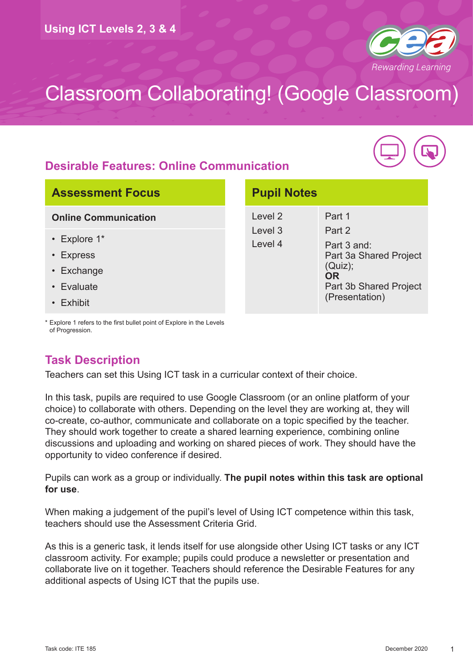

**Pupil Notes**

## **Desirable Features: Online Communication**



### **Assessment Focus**

#### **Online Communication**

- Explore 1\*
- Express
- Exchange
- Evaluate
- Exhibit

#### Level 2 Level 3 Level 4 Part 1 Part 2 Part 3 and: Part 3a Shared Project (Quiz); **OR** Part 3b Shared Project (Presentation)

\* Explore 1 refers to the first bullet point of Explore in the Levels of Progression.

## **Task Description**

Teachers can set this Using ICT task in a curricular context of their choice.

In this task, pupils are required to use Google Classroom (or an online platform of your choice) to collaborate with others. Depending on the level they are working at, they will co-create, co-author, communicate and collaborate on a topic specified by the teacher. They should work together to create a shared learning experience, combining online discussions and uploading and working on shared pieces of work. They should have the opportunity to video conference if desired.

Pupils can work as a group or individually. **The pupil notes within this task are optional for use**.

When making a judgement of the pupil's level of Using ICT competence within this task, teachers should use the Assessment Criteria Grid.

As this is a generic task, it lends itself for use alongside other Using ICT tasks or any ICT classroom activity. For example; pupils could produce a newsletter or presentation and collaborate live on it together. Teachers should reference the Desirable Features for any additional aspects of Using ICT that the pupils use.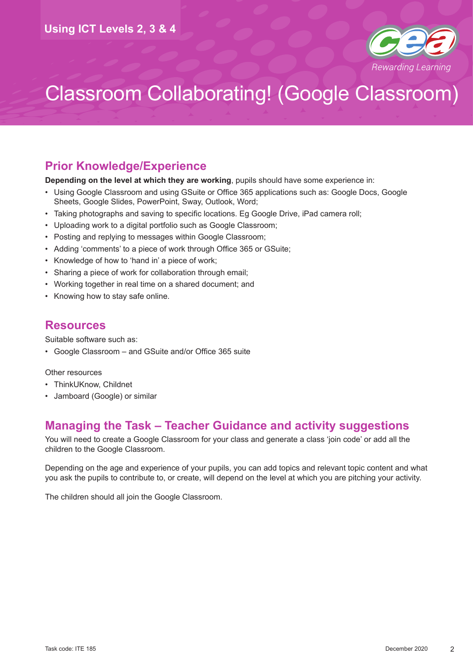

### **Prior Knowledge/Experience**

**Depending on the level at which they are working**, pupils should have some experience in:

- Using Google Classroom and using GSuite or Office 365 applications such as: Google Docs, Google Sheets, Google Slides, PowerPoint, Sway, Outlook, Word;
- Taking photographs and saving to specific locations. Eg Google Drive, iPad camera roll;
- Uploading work to a digital portfolio such as Google Classroom;
- Posting and replying to messages within Google Classroom;
- Adding 'comments' to a piece of work through Office 365 or GSuite;
- Knowledge of how to 'hand in' a piece of work;
- Sharing a piece of work for collaboration through email;
- Working together in real time on a shared document; and
- Knowing how to stay safe online.

### **Resources**

Suitable software such as:

• Google Classroom – and GSuite and/or Office 365 suite

#### Other resources

- ThinkUKnow, Childnet
- Jamboard (Google) or similar

### **Managing the Task – Teacher Guidance and activity suggestions**

You will need to create a Google Classroom for your class and generate a class 'join code' or add all the children to the Google Classroom.

Depending on the age and experience of your pupils, you can add topics and relevant topic content and what you ask the pupils to contribute to, or create, will depend on the level at which you are pitching your activity.

The children should all join the Google Classroom.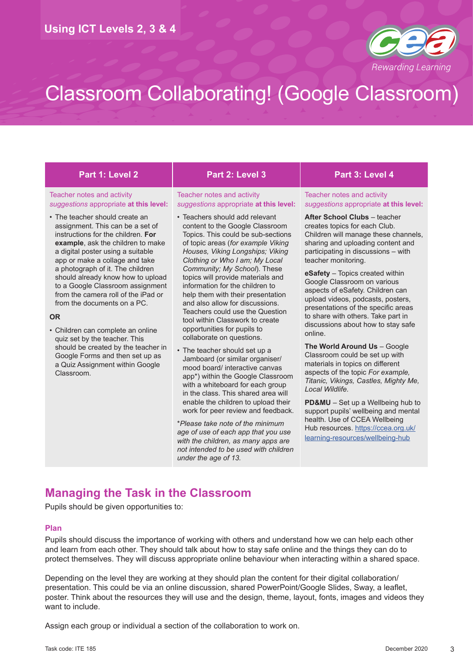

#### Teacher notes and activity *suggestions* appropriate **at this level:**

• The teacher should create an assignment. This can be a set of instructions for the children. **For example**, ask the children to make a digital poster using a suitable app or make a collage and take a photograph of it. The children should already know how to upload to a Google Classroom assignment from the camera roll of the iPad or from the documents on a PC.

#### **OR**

• Children can complete an online quiz set by the teacher. This should be created by the teacher in Google Forms and then set up as a Quiz Assignment within Google Classroom.

#### **Part 1: Level 2 Part 2: Level 3 Part 3: Level 4**

#### Teacher notes and activity *suggestions* appropriate **at this level:**

- Teachers should add relevant content to the Google Classroom Topics. This could be sub-sections of topic areas (*for example Viking Houses, Viking Longships; Viking Clothing or Who I am; My Local Community; My School*). These topics will provide materials and information for the children to help them with their presentation and also allow for discussions. Teachers could use the Question tool within Classwork to create opportunities for pupils to collaborate on questions.
- The teacher should set up a Jamboard (or similar organiser/ mood board/ interactive canvas app\*) within the Google Classroom with a whiteboard for each group in the class. This shared area will enable the children to upload their work for peer review and feedback.

\**Please take note of the minimum age of use of each app that you use with the children, as many apps are not intended to be used with children under the age of 13.*

Teacher notes and activity *suggestions* appropriate **at this level:**

**After School Clubs** – teacher creates topics for each Club. Children will manage these channels, sharing and uploading content and participating in discussions – with teacher monitoring.

**eSafety** – Topics created within Google Classroom on various aspects of eSafety. Children can upload videos, podcasts, posters, presentations of the specific areas to share with others. Take part in discussions about how to stay safe online.

**The World Around Us** – Google Classroom could be set up with materials in topics on different aspects of the topic *For example, Titanic, Vikings, Castles, Mighty Me, Local Wildlife.*

**PD&MU** – Set up a Wellbeing hub to support pupils' wellbeing and mental health. Use of CCEA Wellbeing Hub resources. [https://ccea.org.uk/](https://ccea.org.uk/learning-resources/wellbeing-hub) [learning-resources/wellbeing-hub](https://ccea.org.uk/learning-resources/wellbeing-hub)

## **Managing the Task in the Classroom**

Pupils should be given opportunities to:

#### **Plan**

Pupils should discuss the importance of working with others and understand how we can help each other and learn from each other. They should talk about how to stay safe online and the things they can do to protect themselves. They will discuss appropriate online behaviour when interacting within a shared space.

Depending on the level they are working at they should plan the content for their digital collaboration/ presentation. This could be via an online discussion, shared PowerPoint/Google Slides, Sway, a leaflet, poster. Think about the resources they will use and the design, theme, layout, fonts, images and videos they want to include.

Assign each group or individual a section of the collaboration to work on.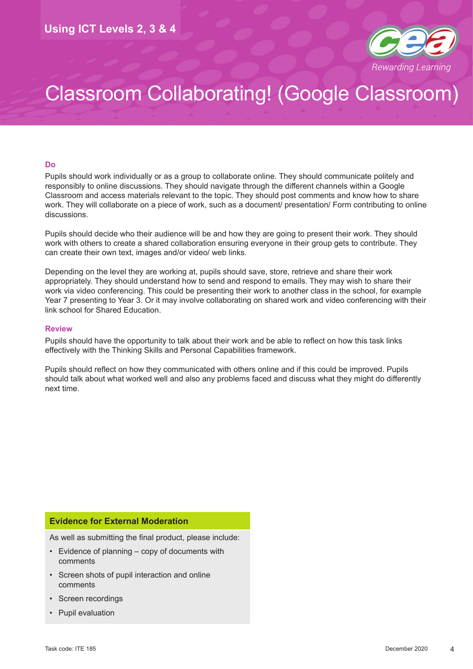

#### **Do**

Pupils should work individually or as a group to collaborate online. They should communicate politely and responsibly to online discussions. They should navigate through the different channels within a Google Classroom and access materials relevant to the topic. They should post comments and know how to share work. They will collaborate on a piece of work, such as a document/ presentation/ Form contributing to online discussions.

Pupils should decide who their audience will be and how they are going to present their work. They should work with others to create a shared collaboration ensuring everyone in their group gets to contribute. They can create their own text, images and/or video/ web links.

Depending on the level they are working at, pupils should save, store, retrieve and share their work appropriately. They should understand how to send and respond to emails. They may wish to share their work via video conferencing. This could be presenting their work to another class in the school, for example Year 7 presenting to Year 3. Or it may involve collaborating on shared work and video conferencing with their link school for Shared Education.

#### **Review**

Pupils should have the opportunity to talk about their work and be able to reflect on how this task links effectively with the Thinking Skills and Personal Capabilities framework.

Pupils should reflect on how they communicated with others online and if this could be improved. Pupils should talk about what worked well and also any problems faced and discuss what they might do differently next time.

#### **Evidence for External Moderation**

As well as submitting the final product, please include:

- Evidence of planning copy of documents with comments
- Screen shots of pupil interaction and online comments
- Screen recordings
- Pupil evaluation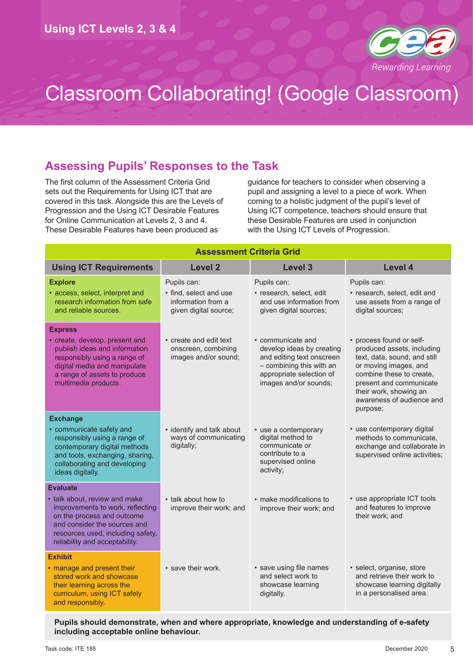

## **Assessing Pupils' Responses to the Task**

The first column of the Assessment Criteria Grid sets out the Requirements for Using ICT that are covered in this task. Alongside this are the Levels of Progression and the Using ICT Desirable Features for Online Communication at Levels 2, 3 and 4. These Desirable Features have been produced as

guidance for teachers to consider when observing a pupil and assigning a level to a piece of work. When coming to a holistic judgment of the pupil's level of Using ICT competence, teachers should ensure that these Desirable Features are used in conjunction with the Using ICT Levels of Progression.

| <b>Assessment Criteria Grid</b>                                                                                                                                                                                           |                                                                                      |                                                                                                                                                              |                                                                                                                                                                                                                               |  |  |
|---------------------------------------------------------------------------------------------------------------------------------------------------------------------------------------------------------------------------|--------------------------------------------------------------------------------------|--------------------------------------------------------------------------------------------------------------------------------------------------------------|-------------------------------------------------------------------------------------------------------------------------------------------------------------------------------------------------------------------------------|--|--|
| <b>Using ICT Requirements</b>                                                                                                                                                                                             | <b>Level 2</b>                                                                       | Level 3                                                                                                                                                      | Level 4                                                                                                                                                                                                                       |  |  |
| <b>Explore</b><br>· access, select, interpret and<br>research information from safe<br>and reliable sources.                                                                                                              | Pupils can:<br>• find, select and use<br>information from a<br>given digital source; | Pupils can:<br>· research, select, edit<br>and use information from<br>given digital sources;                                                                | Pupils can:<br>· research, select, edit and<br>use assets from a range of<br>digital sources;                                                                                                                                 |  |  |
| <b>Express</b><br>• create, develop, present and<br>publish ideas and information<br>responsibly using a range of<br>digital media and manipulate<br>a range of assets to produce<br>multimedia products.                 | • create and edit text<br>onscreen, combining<br>images and/or sound;                | • communicate and<br>develop ideas by creating<br>and editing text onscreen<br>- combining this with an<br>appropriate selection of<br>images and/or sounds; | • process found or self-<br>produced assets, including<br>text, data, sound, and still<br>or moving images, and<br>combine these to create,<br>present and communicate<br>their work, showing an<br>awareness of audience and |  |  |
| <b>Exchange</b><br>• communicate safely and<br>responsibly using a range of<br>contemporary digital methods<br>and tools, exchanging, sharing,<br>collaborating and developing<br>ideas digitally.                        | • identify and talk about<br>ways of communicating<br>digitally;                     | • use a contemporary<br>digital method to<br>communicate or<br>contribute to a<br>supervised online<br>activity;                                             | purpose;<br>• use contemporary digital<br>methods to communicate,<br>exchange and collaborate in<br>supervised online activities;                                                                                             |  |  |
| <b>Evaluate</b><br>• talk about, review and make<br>improvements to work, reflecting<br>on the process and outcome<br>and consider the sources and<br>resources used, including safety,<br>reliability and acceptability. | • talk about how to<br>improve their work; and                                       | • make modifications to<br>improve their work; and                                                                                                           | • use appropriate ICT tools<br>and features to improve<br>their work; and                                                                                                                                                     |  |  |
| <b>Exhibit</b><br>• manage and present their<br>stored work and showcase<br>their learning across the<br>curriculum, using ICT safely<br>and responsibly.                                                                 | • save their work.                                                                   | • save using file names<br>and select work to<br>showcase learning<br>digitally.                                                                             | · select, organise, store<br>and retrieve their work to<br>showcase learning digitally<br>in a personalised area.                                                                                                             |  |  |

**Pupils should demonstrate, when and where appropriate, knowledge and understanding of e-safety including acceptable online behaviour.**

5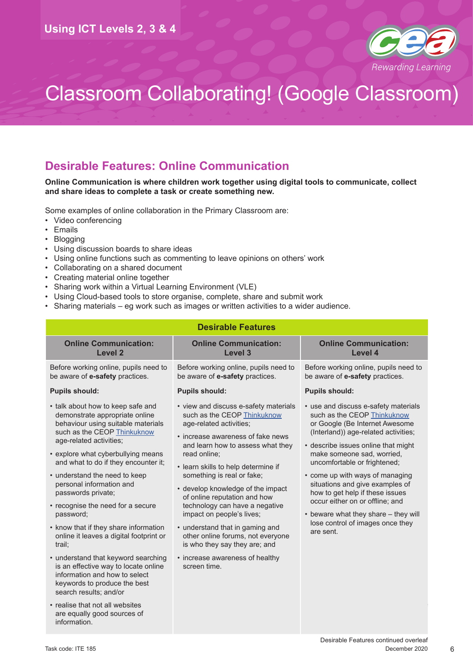

### **Desirable Features: Online Communication**

#### **Online Communication is where children work together using digital tools to communicate, collect and share ideas to complete a task or create something new.**

Some examples of online collaboration in the Primary Classroom are:

- Video conferencing
- Emails
- Blogging
- Using discussion boards to share ideas
- Using online functions such as commenting to leave opinions on others' work
- Collaborating on a shared document
- Creating material online together
- Sharing work within a Virtual Learning Environment (VLE)
- Using Cloud-based tools to store organise, complete, share and submit work
- Sharing materials eg work such as images or written activities to a wider audience.

| <b>Desirable Features</b>                                                                                                                                                                                                                                                                                                                                                                                                                                                                                                                                                                                                                                      |                                                                                                                                                                                                                                                                                                                                                                                                                                                                                                                                                                |                                                                                                                                                                                                                                                                                                                                                                                                                                                                                         |  |  |
|----------------------------------------------------------------------------------------------------------------------------------------------------------------------------------------------------------------------------------------------------------------------------------------------------------------------------------------------------------------------------------------------------------------------------------------------------------------------------------------------------------------------------------------------------------------------------------------------------------------------------------------------------------------|----------------------------------------------------------------------------------------------------------------------------------------------------------------------------------------------------------------------------------------------------------------------------------------------------------------------------------------------------------------------------------------------------------------------------------------------------------------------------------------------------------------------------------------------------------------|-----------------------------------------------------------------------------------------------------------------------------------------------------------------------------------------------------------------------------------------------------------------------------------------------------------------------------------------------------------------------------------------------------------------------------------------------------------------------------------------|--|--|
| <b>Online Communication:</b><br><b>Level 2</b>                                                                                                                                                                                                                                                                                                                                                                                                                                                                                                                                                                                                                 | <b>Online Communication:</b><br><b>Level 3</b>                                                                                                                                                                                                                                                                                                                                                                                                                                                                                                                 | <b>Online Communication:</b><br>Level 4                                                                                                                                                                                                                                                                                                                                                                                                                                                 |  |  |
| Before working online, pupils need to<br>be aware of e-safety practices.                                                                                                                                                                                                                                                                                                                                                                                                                                                                                                                                                                                       | Before working online, pupils need to<br>be aware of e-safety practices.                                                                                                                                                                                                                                                                                                                                                                                                                                                                                       | Before working online, pupils need to<br>be aware of e-safety practices.                                                                                                                                                                                                                                                                                                                                                                                                                |  |  |
| <b>Pupils should:</b>                                                                                                                                                                                                                                                                                                                                                                                                                                                                                                                                                                                                                                          | <b>Pupils should:</b>                                                                                                                                                                                                                                                                                                                                                                                                                                                                                                                                          | <b>Pupils should:</b>                                                                                                                                                                                                                                                                                                                                                                                                                                                                   |  |  |
| • talk about how to keep safe and<br>demonstrate appropriate online<br>behaviour using suitable materials<br>such as the CEOP Thinkuknow<br>age-related activities;<br>• explore what cyberbullying means<br>and what to do if they encounter it;<br>• understand the need to keep<br>personal information and<br>passwords private;<br>• recognise the need for a secure<br>password;<br>• know that if they share information<br>online it leaves a digital footprint or<br>trail;<br>• understand that keyword searching<br>is an effective way to locate online<br>information and how to select<br>keywords to produce the best<br>search results; and/or | • view and discuss e-safety materials<br>such as the CEOP Thinkuknow<br>age-related activities;<br>• increase awareness of fake news<br>and learn how to assess what they<br>read online:<br>• learn skills to help determine if<br>something is real or fake;<br>• develop knowledge of the impact<br>of online reputation and how<br>technology can have a negative<br>impact on people's lives;<br>• understand that in gaming and<br>other online forums, not everyone<br>is who they say they are; and<br>• increase awareness of healthy<br>screen time. | • use and discuss e-safety materials<br>such as the CEOP Thinkuknow<br>or Google (Be Internet Awesome<br>(Interland)) age-related activities;<br>• describe issues online that might<br>make someone sad, worried,<br>uncomfortable or frightened;<br>• come up with ways of managing<br>situations and give examples of<br>how to get help if these issues<br>occur either on or offline; and<br>• beware what they share - they will<br>lose control of images once they<br>are sent. |  |  |
| • realise that not all websites<br>are equally good sources of<br>information.                                                                                                                                                                                                                                                                                                                                                                                                                                                                                                                                                                                 |                                                                                                                                                                                                                                                                                                                                                                                                                                                                                                                                                                |                                                                                                                                                                                                                                                                                                                                                                                                                                                                                         |  |  |

6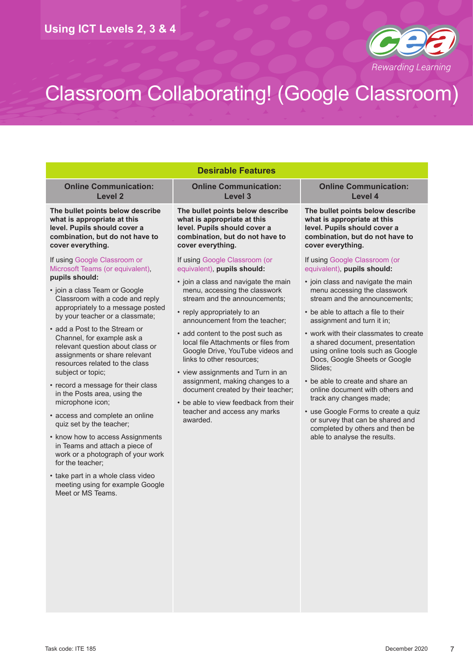

| <b>Desirable Features</b>                                                                                                                                                               |                                                                                                                                                                                                                                                                                                                                                                                                                                                                                                                          |                                                                                                                                                                                                              |  |  |  |  |
|-----------------------------------------------------------------------------------------------------------------------------------------------------------------------------------------|--------------------------------------------------------------------------------------------------------------------------------------------------------------------------------------------------------------------------------------------------------------------------------------------------------------------------------------------------------------------------------------------------------------------------------------------------------------------------------------------------------------------------|--------------------------------------------------------------------------------------------------------------------------------------------------------------------------------------------------------------|--|--|--|--|
| <b>Online Communication:</b><br><b>Level 2</b>                                                                                                                                          | <b>Online Communication:</b><br>Level 3                                                                                                                                                                                                                                                                                                                                                                                                                                                                                  | <b>Online Communication:</b><br>Level 4                                                                                                                                                                      |  |  |  |  |
| The bullet points below describe<br>what is appropriate at this<br>level. Pupils should cover a<br>combination, but do not have to<br>cover everything.                                 | The bullet points below describe<br>what is appropriate at this<br>level. Pupils should cover a<br>combination, but do not have to<br>cover everything.                                                                                                                                                                                                                                                                                                                                                                  | The bullet points below describe<br>what is appropriate at this<br>level. Pupils should cover a<br>combination, but do not have to<br>cover everything.                                                      |  |  |  |  |
| If using Google Classroom or<br>Microsoft Teams (or equivalent),                                                                                                                        | If using Google Classroom (or<br>equivalent), pupils should:                                                                                                                                                                                                                                                                                                                                                                                                                                                             | If using Google Classroom (or<br>equivalent), pupils should:                                                                                                                                                 |  |  |  |  |
| pupils should:<br>• join a class Team or Google<br>Classroom with a code and reply<br>appropriately to a message posted<br>by your teacher or a classmate;                              | • join a class and navigate the main<br>menu, accessing the classwork<br>stream and the announcements;<br>• reply appropriately to an<br>announcement from the teacher;<br>• add content to the post such as<br>local file Attachments or files from<br>Google Drive, YouTube videos and<br>links to other resources:<br>• view assignments and Turn in an<br>assignment, making changes to a<br>document created by their teacher;<br>• be able to view feedback from their<br>teacher and access any marks<br>awarded. | • join class and navigate the main<br>menu accessing the classwork<br>stream and the announcements;                                                                                                          |  |  |  |  |
|                                                                                                                                                                                         |                                                                                                                                                                                                                                                                                                                                                                                                                                                                                                                          | • be able to attach a file to their<br>assignment and turn it in;                                                                                                                                            |  |  |  |  |
| • add a Post to the Stream or<br>Channel, for example ask a<br>relevant question about class or<br>assignments or share relevant<br>resources related to the class<br>subject or topic; |                                                                                                                                                                                                                                                                                                                                                                                                                                                                                                                          | • work with their classmates to create<br>a shared document, presentation<br>using online tools such as Google<br>Docs, Google Sheets or Google<br>Slides:                                                   |  |  |  |  |
| • record a message for their class<br>in the Posts area, using the<br>microphone icon;                                                                                                  |                                                                                                                                                                                                                                                                                                                                                                                                                                                                                                                          | • be able to create and share an<br>online document with others and<br>track any changes made;<br>• use Google Forms to create a quiz<br>or survey that can be shared and<br>completed by others and then be |  |  |  |  |
| • access and complete an online<br>quiz set by the teacher;                                                                                                                             |                                                                                                                                                                                                                                                                                                                                                                                                                                                                                                                          |                                                                                                                                                                                                              |  |  |  |  |
| • know how to access Assignments<br>in Teams and attach a piece of<br>work or a photograph of your work<br>for the teacher;                                                             |                                                                                                                                                                                                                                                                                                                                                                                                                                                                                                                          | able to analyse the results.                                                                                                                                                                                 |  |  |  |  |
| • take part in a whole class video<br>meeting using for example Google<br>Meet or MS Teams.                                                                                             |                                                                                                                                                                                                                                                                                                                                                                                                                                                                                                                          |                                                                                                                                                                                                              |  |  |  |  |
|                                                                                                                                                                                         |                                                                                                                                                                                                                                                                                                                                                                                                                                                                                                                          |                                                                                                                                                                                                              |  |  |  |  |
|                                                                                                                                                                                         |                                                                                                                                                                                                                                                                                                                                                                                                                                                                                                                          |                                                                                                                                                                                                              |  |  |  |  |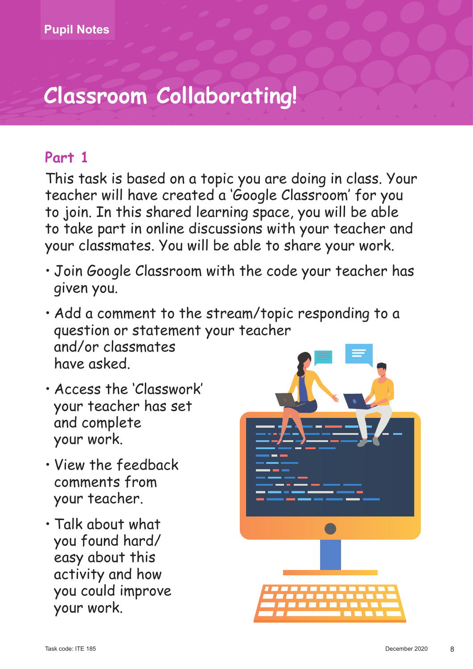## **Part 1**

This task is based on a topic you are doing in class. Your teacher will have created a 'Google Classroom' for you to join. In this shared learning space, you will be able to take part in online discussions with your teacher and your classmates. You will be able to share your work.

- Join Google Classroom with the code your teacher has given you.
- Add a comment to the stream/topic responding to a question or statement your teacher and/or classmates have asked.
- Access the 'Classwork' your teacher has set and complete your work.
- View the feedback comments from your teacher.
- Talk about what you found hard/ easy about this activity and how you could improve your work.

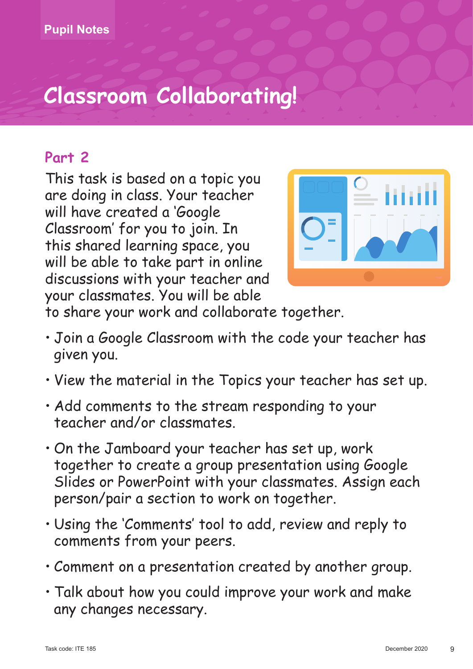## **Part 2**

This task is based on a topic you are doing in class. Your teacher will have created a 'Google Classroom' for you to join. In this shared learning space, you will be able to take part in online discussions with your teacher and your classmates. You will be able



to share your work and collaborate together.

- Join a Google Classroom with the code your teacher has given you.
- View the material in the Topics your teacher has set up.
- Add comments to the stream responding to your teacher and/or classmates.
- On the Jamboard your teacher has set up, work together to create a group presentation using Google Slides or PowerPoint with your classmates. Assign each person/pair a section to work on together.
- Using the 'Comments' tool to add, review and reply to comments from your peers.
- Comment on a presentation created by another group.
- Talk about how you could improve your work and make any changes necessary.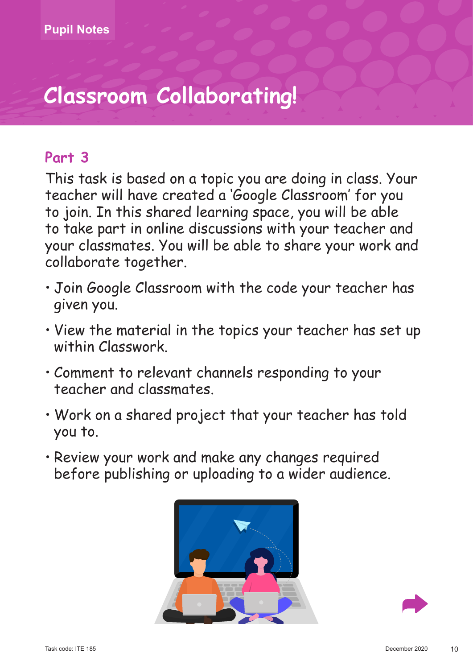## **Part 3**

This task is based on a topic you are doing in class. Your teacher will have created a 'Google Classroom' for you to join. In this shared learning space, you will be able to take part in online discussions with your teacher and your classmates. You will be able to share your work and collaborate together.

- Join Google Classroom with the code your teacher has given you.
- View the material in the topics your teacher has set up within Classwork.
- Comment to relevant channels responding to your teacher and classmates.
- Work on a shared project that your teacher has told you to.
- Review your work and make any changes required before publishing or uploading to a wider audience.



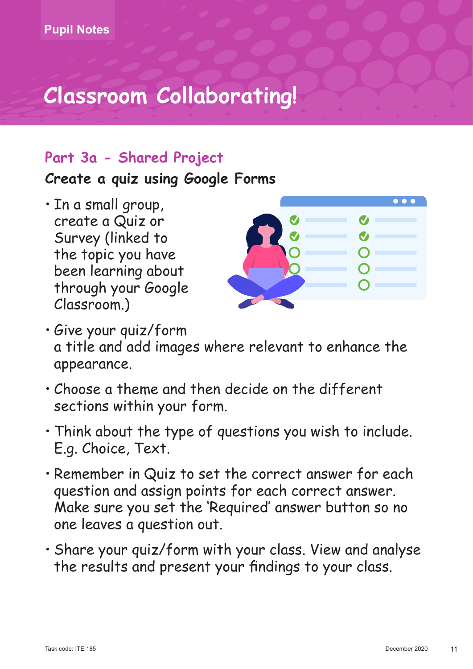## **Part 3a - Shared Project**

**Create a quiz using Google Forms**

• In a small group, create a Quiz or Survey (linked to the topic you have been learning about through your Google Classroom.)



- Give your quiz/form a title and add images where relevant to enhance the appearance.
- Choose a theme and then decide on the different sections within your form.
- Think about the type of questions you wish to include. E.g. Choice, Text.
- Remember in Quiz to set the correct answer for each question and assign points for each correct answer. Make sure you set the 'Required' answer button so no one leaves a question out.
- Share your quiz/form with your class. View and analyse the results and present your findings to your class.